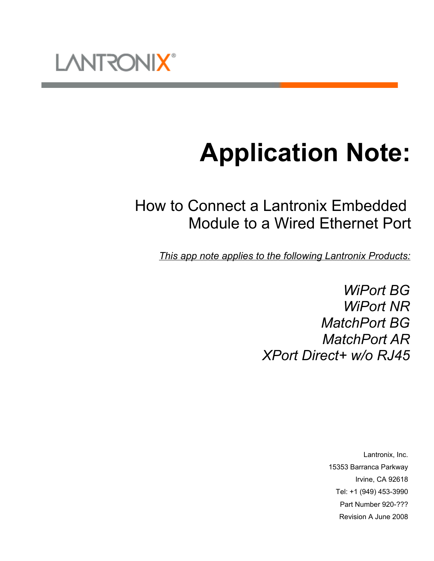

# **Application Note:**

# How to Connect a Lantronix Embedded Module to a Wired Ethernet Port

*This app note applies to the following Lantronix Products:*

*WiPort BG WiPort NR MatchPort BG MatchPort AR XPort Direct+ w/o RJ45*

> Lantronix, Inc. 15353 Barranca Parkway Irvine, CA 92618 Tel: +1 (949) 453-3990 Part Number 920-??? Revision A June 2008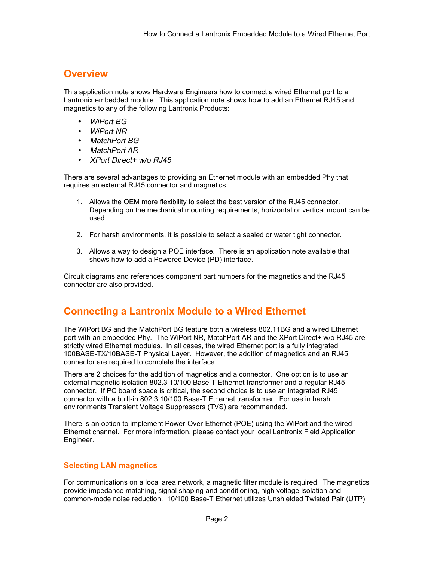### **Overview**

This application note shows Hardware Engineers how to connect a wired Ethernet port to a Lantronix embedded module. This application note shows how to add an Ethernet RJ45 and magnetics to any of the following Lantronix Products:

- *WiPort BG*
- *WiPort NR*
- *MatchPort BG*
- *MatchPort AR*
- *XPort Direct+ w/o RJ45*

There are several advantages to providing an Ethernet module with an embedded Phy that requires an external RJ45 connector and magnetics.

- 1. Allows the OEM more flexibility to select the best version of the RJ45 connector. Depending on the mechanical mounting requirements, horizontal or vertical mount can be used.
- 2. For harsh environments, it is possible to select a sealed or water tight connector.
- 3. Allows a way to design a POE interface. There is an application note available that shows how to add a Powered Device (PD) interface.

Circuit diagrams and references component part numbers for the magnetics and the RJ45 connector are also provided.

## **Connecting a Lantronix Module to a Wired Ethernet**

The WiPort BG and the MatchPort BG feature both a wireless 802.11BG and a wired Ethernet port with an embedded Phy. The WiPort NR, MatchPort AR and the XPort Direct+ w/o RJ45 are strictly wired Ethernet modules. In all cases, the wired Ethernet port is a fully integrated 100BASE-TX/10BASE-T Physical Layer. However, the addition of magnetics and an RJ45 connector are required to complete the interface.

There are 2 choices for the addition of magnetics and a connector. One option is to use an external magnetic isolation 802.3 10/100 Base-T Ethernet transformer and a regular RJ45 connector. If PC board space is critical, the second choice is to use an integrated RJ45 connector with a built-in 802.3 10/100 Base-T Ethernet transformer. For use in harsh environments Transient Voltage Suppressors (TVS) are recommended.

There is an option to implement Power-Over-Ethernet (POE) using the WiPort and the wired Ethernet channel. For more information, please contact your local Lantronix Field Application Engineer.

#### **Selecting LAN magnetics**

For communications on a local area network, a magnetic filter module is required. The magnetics provide impedance matching, signal shaping and conditioning, high voltage isolation and common-mode noise reduction. 10/100 Base-T Ethernet utilizes Unshielded Twisted Pair (UTP)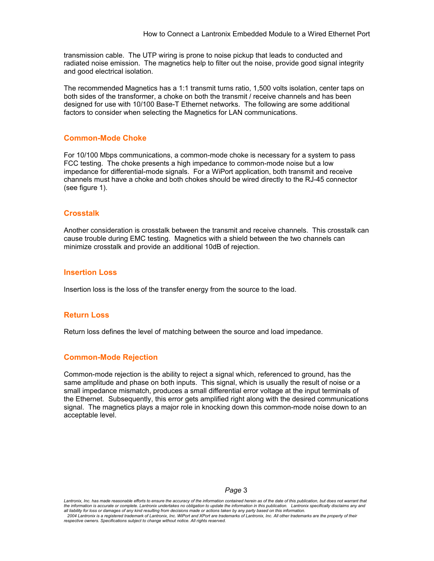transmission cable. The UTP wiring is prone to noise pickup that leads to conducted and radiated noise emission. The magnetics help to filter out the noise, provide good signal integrity and good electrical isolation.

The recommended Magnetics has a 1:1 transmit turns ratio, 1,500 volts isolation, center taps on both sides of the transformer, a choke on both the transmit / receive channels and has been designed for use with 10/100 Base-T Ethernet networks. The following are some additional factors to consider when selecting the Magnetics for LAN communications.

#### **Common-Mode Choke**

For 10/100 Mbps communications, a common-mode choke is necessary for a system to pass FCC testing. The choke presents a high impedance to common-mode noise but a low impedance for differential-mode signals. For a WiPort application, both transmit and receive channels must have a choke and both chokes should be wired directly to the RJ-45 connector (see figure 1).

#### **Crosstalk**

Another consideration is crosstalk between the transmit and receive channels. This crosstalk can cause trouble during EMC testing. Magnetics with a shield between the two channels can minimize crosstalk and provide an additional 10dB of rejection.

#### **Insertion Loss**

Insertion loss is the loss of the transfer energy from the source to the load.

#### **Return Loss**

Return loss defines the level of matching between the source and load impedance.

#### **Common-Mode Rejection**

Common-mode rejection is the ability to reject a signal which, referenced to ground, has the same amplitude and phase on both inputs. This signal, which is usually the result of noise or a small impedance mismatch, produces a small differential error voltage at the input terminals of the Ethernet. Subsequently, this error gets amplified right along with the desired communications signal. The magnetics plays a major role in knocking down this common-mode noise down to an acceptable level.

#### *Page* 3

*Lantronix, Inc. has made reasonable efforts to ensure the accuracy of the information contained herein as of the date of this publication, but does not warrant that* the information is accurate or complete. Lantronix undertakes no obligation to update the information in this publication. Lantronix specifically disclaims any and<br>all liability for loss or damages of any kind resulting *2004 Lantronix is a registered trademark of Lantronix, Inc. WiPort and XPort are trademarks of Lantronix, Inc. All other trademarks are the property of their respective owners. Specifications subject to change without notice. All rights reserved.*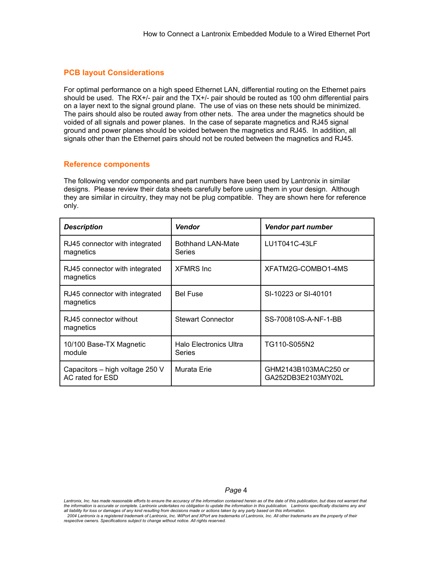#### **PCB layout Considerations**

For optimal performance on a high speed Ethernet LAN, differential routing on the Ethernet pairs should be used. The RX+/- pair and the TX+/- pair should be routed as 100 ohm differential pairs on a layer next to the signal ground plane. The use of vias on these nets should be minimized. The pairs should also be routed away from other nets. The area under the magnetics should be voided of all signals and power planes. In the case of separate magnetics and RJ45 signal ground and power planes should be voided between the magnetics and RJ45. In addition, all signals other than the Ethernet pairs should not be routed between the magnetics and RJ45.

#### **Reference components**

The following vendor components and part numbers have been used by Lantronix in similar designs. Please review their data sheets carefully before using them in your design. Although they are similar in circuitry, they may not be plug compatible. They are shown here for reference only.

| <b>Description</b>                                  | <b>Vendor</b>                             | <b>Vendor part number</b>                  |  |
|-----------------------------------------------------|-------------------------------------------|--------------------------------------------|--|
| RJ45 connector with integrated<br>magnetics         | <b>Bothhand LAN-Mate</b><br><b>Series</b> | LU1T041C-43LF                              |  |
| RJ45 connector with integrated<br>magnetics         | <b>XFMRS</b> Inc.                         | XFATM2G-COMBO1-4MS                         |  |
| RJ45 connector with integrated<br>magnetics         | <b>Bel Fuse</b>                           | SI-10223 or SI-40101                       |  |
| RJ45 connector without<br>magnetics                 | <b>Stewart Connector</b>                  | SS-700810S-A-NF-1-BB                       |  |
| 10/100 Base-TX Magnetic<br>module                   | Halo Electronics Ultra<br><b>Series</b>   | TG110-S055N2                               |  |
| Capacitors - high voltage 250 V<br>AC rated for ESD | Murata Erie                               | GHM2143B103MAC250 or<br>GA252DB3E2103MY02L |  |

*Page* 4

*Lantronix, Inc. has made reasonable efforts to ensure the accuracy of the information contained herein as of the date of this publication, but does not warrant that* the information is accurate or complete. Lantronix undertakes no obligation to update the information in this publication. Lantronix specifically disclaims any and<br>all liability for loss or damages of any kind resulting *2004 Lantronix is a registered trademark of Lantronix, Inc. WiPort and XPort are trademarks of Lantronix, Inc. All other trademarks are the property of their respective owners. Specifications subject to change without notice. All rights reserved.*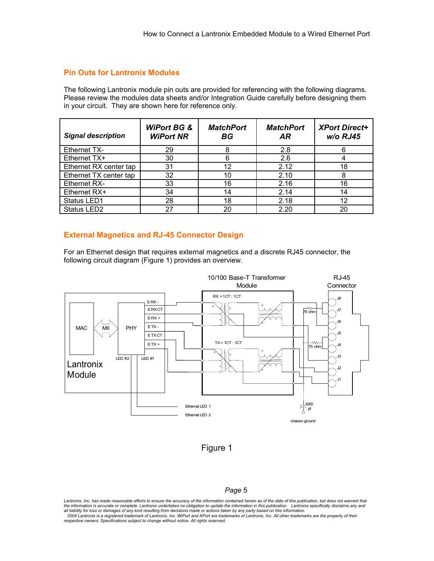#### **Pin Outs for Lantronix Modules**

The following Lantronix module pin outs are provided for referencing with the following diagrams. Please review the modules data sheets and/or Integration Guide carefully before designing them in your circuit. They are shown here for reference only.

| <b>Signal description</b> | <b>WiPort BG &amp;</b><br><b>WiPort NR</b> | <b>MatchPort</b><br>ВG | <b>MatchPort</b><br><b>AR</b> | <b>XPort Direct+</b><br>w/o RJ45 |
|---------------------------|--------------------------------------------|------------------------|-------------------------------|----------------------------------|
| <b>Ethernet TX-</b>       | 29                                         |                        | 2.8                           |                                  |
| Ethernet TX+              | 30                                         | 6                      | 2.6                           |                                  |
| Ethernet RX center tap    | 31                                         | 12                     | 2.12                          | 18                               |
| Ethernet TX center tap    | 32                                         | 10                     | 2.10                          | 8                                |
| <b>Ethernet RX-</b>       | 33                                         | 16                     | 2.16                          | 16                               |
| Ethernet RX+              | 34                                         | 14                     | 2.14                          | 14                               |
| Status LED1               | 28                                         | 18                     | 2.18                          | 12                               |
| Status LED <sub>2</sub>   | 27                                         | 20                     | 2.20                          | 20                               |

#### **External Magnetics and RJ-45 Connector Design**

For an Ethernet design that requires external magnetics and a discrete RJ45 connector, the following circuit diagram (Figure 1) provides an overview.





#### *Page* 5

*Lantronix, Inc. has made reasonable efforts to ensure the accuracy of the information contained herein as of the date of this publication, but does not warrant that* the information is accurate or complete. Lantronix undertakes no obligation to update the information in this publication. Lantronix specifically disclaims any and<br>all liability for loss or damages of any kind resulting *2004 Lantronix is a registered trademark of Lantronix, Inc. WiPort and XPort are trademarks of Lantronix, Inc. All other trademarks are the property of their respective owners. Specifications subject to change without notice. All rights reserved.*